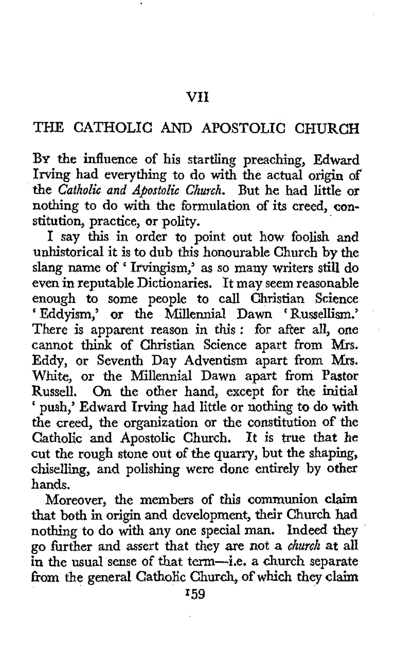## THE CATHOLIC AND APOSTOLIC CHURCH

**BY** the influence of his startling preaching, Edward Irving had everything to do with the actual origin **of**  the *Catholic and Apostolic Church*. But he had little or nothing *to* do with the formulation of its creed, **con**stitution, practice, or polity.

I say this in order to point out how foolish and unhistorical it is to dub this honourable Church by the slang name of ' Ifvingism,' as so many writers still do even in reputable Dictionaries. It may seem reasonable enough to some people to call Christian Science ' Eddyism,' or the Millennia1 Dawn ' Russellism.' There **is** apparent reason in this : for after all, one cannot think of Christian Science apart from **Mrs.**  Eddy, or Seventh Day Adventism apart from **Mrs.**  White, or the Millennia1 Dawn apart from Pastor Russell. On the other hand, except for the initial ' push,' Edward Irving had little or nothing to do with the creed, the organization or the constitution of the Catholic and Apostolic Church. **It** *is* true that *he*  cut the rough stone out of the quarry, but the shaping, chiselling, and polishing were done entirely by other hands.

Moreover, the members of this communion claim that both in origin and development, their Church **had**  nothing to do with any one special man. Indeed they go further and assert that they are not a *church* at all in the usual sense of that term-i.e. a church separate **fiom** the general Catholic Church, of which they claim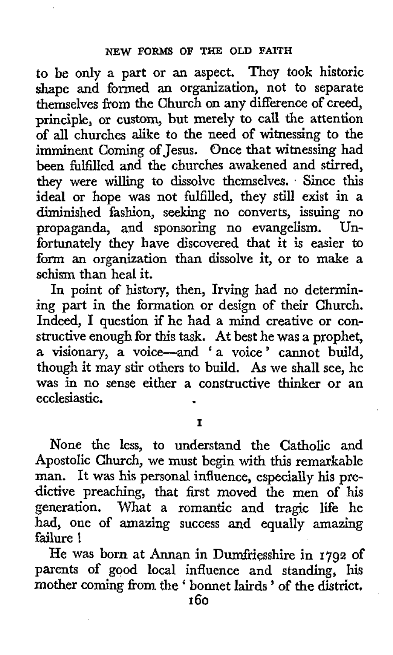**to** be only a part or an aspect. They took historic shape and formed an organization, not to separate themselves from the Church on any difference of creed, principle, or **custom,** but merely to call the attention **of all** churches alike to the need of witnessing to the imminent Coming of Jesus. Once that witnessing had been fulfilled and the churches awakened and stirred, they were willing to dissolve themselves. . Since this ideal or hope was not fulfilled, they still exist in a diminished fashion, seeking no converts, issuing no propaganda, and sponsoring no evangelism. Unfortunately they have discovered that it is easier to form an organization than dissolve it, or to make **a**  schism than heal it.

In point of history, then, Irving had no determining part in the formation or design of their Church. Indeed, I question if he had a mind creative or constructive enough for this task. At best he was a prophet, a visionary, a voice-and 'a voice' cannot build, though it may stir others to build. As we shall see, he was in no sense either a constructive thinker or an ecclesiastic.

**I** 

None the less, to understand the Catholic and Apostolic Church, we must begin with this remarkable man. It was **his** personal influence, especially his predictive preaching, that first moved the men of his generation. What a romantic and tragic life he had, one of amazing success and equally amazing failure !

He was born at Annan in Dumfriesshire in **1792** of parents of **good** local influence and standing, his mother coming from the ' bonnet lairds ' of the district.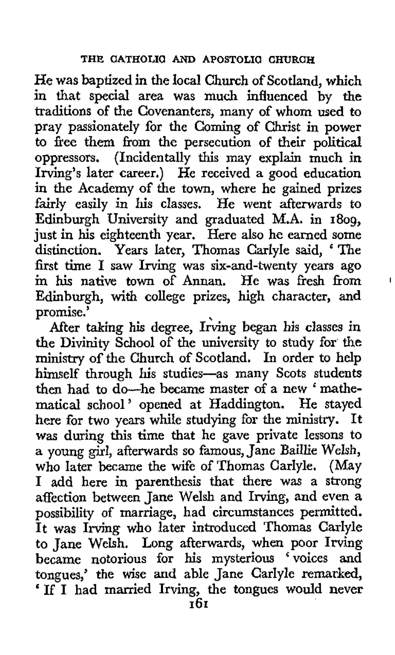He was baptized in the local Church of Scotland, which in that special area was much influenced by the traditions of the Covenanters, many of whom used to pray passionately for the Coming of Christ in power to free them from the persecution of their political oppressors. (Incidentally this may explain much in Irving's later career.) He received a good education in the Academy of the town, where he gained prizes fairly easily in his classes. He went afterwards to Edinburgh University and graduated M.A. in 1809, just in his eighteenth year. Here also he earned some distinction. Years Iater, Thomas Carlyle said, 'The first time I saw Irving was six-and-twenty years ago in his native town of Annan. He was fresh from Edinburgh, with college prizes, high character, and promise.'

After taking his degree, Irving began his classes in the Divinity **School** of the university to study for the **ministry** of the Church of Scotland. In order to help himself through his studies-as many Scots students nimselt through his studies—as many Scots students<br>then had to do—he became master of a new 'mathematical school' opened at Haddington. He stayed here for two years while studying for the ministry. **It**  was during this time that he gave private lessons to a young girl, afterwards so famous, Jane Baillie Welsh, who later became the wife of Thomas Carlyle. (May I add here in parenthesis that there was a strong affection between Jane Welsh and Irving, and even **a**  possibility of marriage, had circumstances permitted. It was Irving who later introduced Thomas Carlyle to Jane Welsh. Long afterwards, when poor Irving became notorious for his mysterious 'voices **and**  tongues,' the wise **and** able Jane Carlyle remarked, ' If I had married Irving, the tongues would never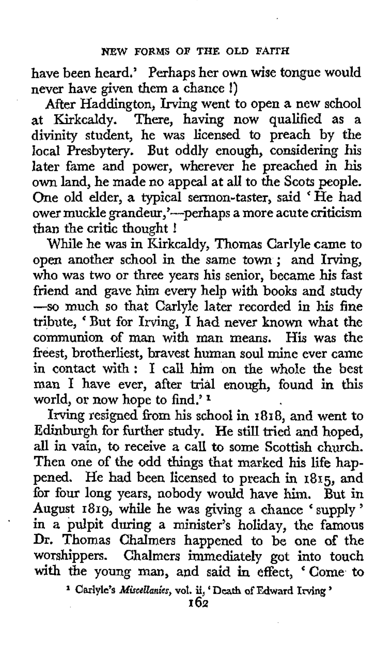have been heard.' Perhaps her **own** wise tongue would never have given them a chance !)

After Haddington, Irving went to open a new school at Kirkcaldy. There, having now qualified as a divinity student, he was licensed to preach by the local Presbytery. But oddly enough, considering his later fame and power, wherever he preached in **his**  own land, he made no appeal at all to the Scots people. One old elder, a typical sermon-taster, said **'He** had ower muckle grandeur,'---perhaps a more acute criticism than the critic thought !

While he was in Kirkcaldy, Thomas Carlyle came to open another school in the same town ; and Irving, who was two or three years his senior, became **his** fast friend and gave him every help with books and study --so much so that Carlyle later recorded in his fine tribute, ' But for Irving, **I** had never **known** what the communion of man with man means. His was the freest, brotherliest, bravest human soul mine ever came in contact with: I call him on the whole the best man I have ever, after trial enough, found in this world, or now hope to find.' **<sup>1</sup>**

Irving resigned from his school in **1818,** and went **to**  Edinburgh for further study. He still tried and hoped, all in vain, to receive a call **to** some Scottish church. Then one **of** the odd things that marked his life **hap**pened. He had been licensed to preach in **1815,** and for four long years, nobody would have him. But in August **1819,** while he **was** giving a chance 'supply' in a pulpit during *a* minister's holiday, the famous Dr. Thomas Chalmers happened to be one of the worshippers. Chalmers immediately got into touch with the young man, and said in effect, 'Come *to* 

'

<sup>1</sup> Carlyle's *Miscellanies*, vol. ii, 'Death of Edward Irving '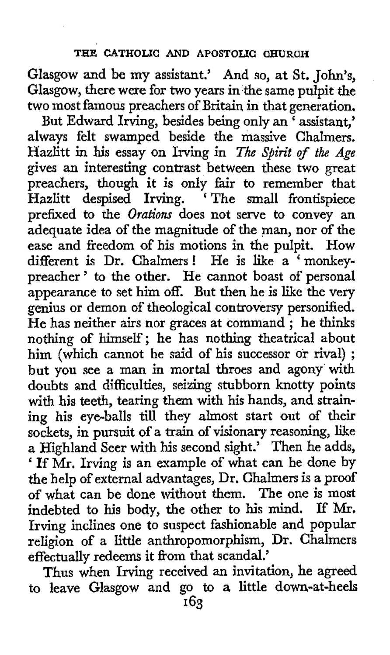Glasgow and be my assistant.' And so, at St. John's, Glasgow, there were for **two** years in the same pulpit the two most famous preachers of Britain in that generation.

But Edward Irving, besides being only an 'assistant,' always felt swamped beside the massive Chalmers. Hazlitt in his essay on Irving in *The Spirit of the Age* gives an interesting contrast between these **two** great preachers, though it is only fair to remember that Hazlitt despised Irving. ' The small frontispiece prefixed to the *Orations* does not serve to convey an adequate idea of the magnitude of the man, nor of the ease and freedom of his motions in the pulpit. **How**  different is Dr. Chalmers! He is like a 'monkeypreacher ' **to** the other. He cannot boast of personal appearance to set him off. But then he is like the very genius or demon of theological controversy personified. He has neither airs nor graces at command; he thinks nothing of himself; he has nothing theatrical about him (which cannot be said of his successor or rival) ; but you see a man in mortal throes and agony with doubts and difficulties, seizing stubborn knotty points with his teeth, tearing them with his hands, and straining his eye-balls **till** they almost start out of their sockets, in pursuit of a train of visionary reasoning, like a Highland Seer with **his** second sight.' Then he adds, ' If Mr. Irving is an example of what can be done by the help of external advantages, Dr. Chalmers is a proof of what can be done without them. The one is most indebted to his body, the other to his mind. If **Mr.**  Irving inclines one to suspect fashionable and popular religion of a little anthropomorphism, Dr. Chalmers effectually redeems it from that scandal.'

Thus when Irving received an invitation, he agreed to leave Glasgow and go to **a** little down-at-heels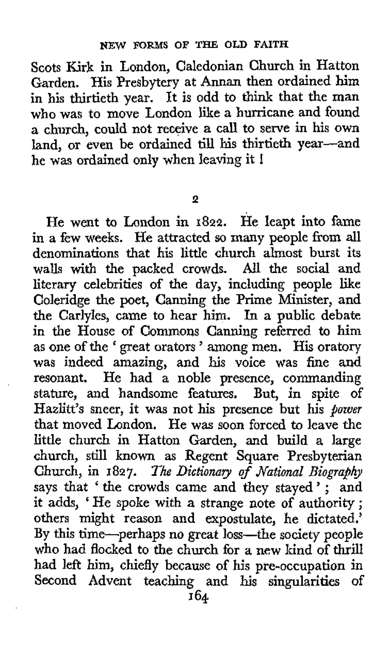Scots Kirk in London, Caledonian Church in Hatton Garden. 'His Presbytery at Annan then ordained him in his thirtieth year. It is odd to think that the man who was to move London like **a** hurricane and found a church, could not receive a call to serve in his own land, or even be ordained till his thirtieth year---ar<br>he was ordained only when leaving it !

**2** 

He went to London in **1822.** He leapt into fame in a few weeks. He attracted so many people from all denominations that his little church almost burst its walls with the packed crowds. *All* the social and literary celebrities **of** the day, including people like Coleridge the poet, Canning the Prime Minister, and the Carlyles, came to hear him. In a public debate in the House of Commons Canning referred to him **as** one of the ' great orators ' among men. His oratory was indeed amazing, and his voice was fine and resonant. He had a noble presence, commanding stature, and handsome features, But, in spite of Hazlitt's sneer, it was not his presence but his *power*  that moved London. He was soon forced to leave the little church in Hatton Garden, and build **a** large church, still known as Regent Square Presbyterian Church, in 1827. *The Dictionary of National Biography* says that 'the crowds came and they stayed '; and it adds, ' He spoke with a strange note *of* authority ; others might reason and expostulate, **he** dictated.' **By** this time-perhaps no great loss-the society people who had flocked to the church for a new kind of thrill had left him, chiefly because of his pre-occupation in Second Advent teaching and his singularities of **164**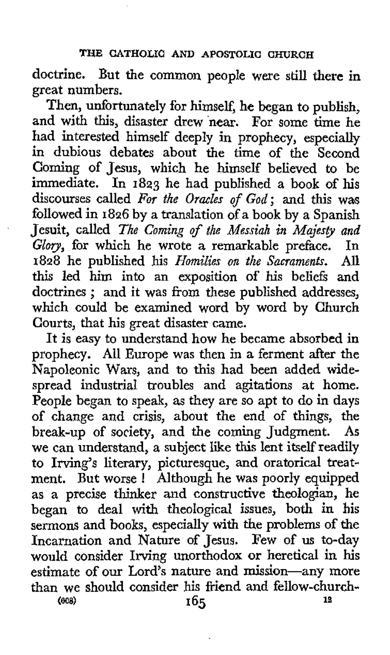## **THE CATHOLIa AND APOSTOLIC CHURCH**

doctrine. But the common people were still there in great numbers.

Then, unfortunately for himself, he began to publish, and with this, disaster drew near. For some time he had interested himself deeply in prophecy, especially in dubious debates about the time of the Second Coming of Jesus, which he himself believed to be immediate. In **1823** he had published a book of his discourses called *For the Oracles of God;* and this was followed in **1826** by a translation of a book by a Spanish Jesuit, called *The Coming of the Messiah in Majesp and Glov,* for which he wrote a remarkable preface. In **1828** he published his *Homilies on the Sacraments.* **All**  this led him into an exposition of his beliefs and doctrines ; and it was from these published addresses, which could be examined word by word by Church Courts, that his great disaster came.

It is easy to understand how he became absorbed in prophecy. **All** Europe was then in a ferment after the Napoleonic Wars, and to this had been added widespread industrial troubles and agitations at home. People began to speak, as they are so apt to do in days of change and crisis, about the end of things, the break-up of society, and the coming Judgment. **As**  we can understand, a subject like this lent itself readily to Irving's literary, picturesque, and oratorical treatment. But worse ! Although he was poorly equipped **as** a precise thinker and constructive theologian, he began to deal with theological issues, both in his sermons and books, especially with the problems of the Incarnation and Nature of Jesus. Few of us to-day would consider Irving unorthodox or heretical in his estimate of our Lord's nature and mission-any more than we should consider his friend and fellow-church-<br> $165$ <br> $18$ **1% (Bos) 165**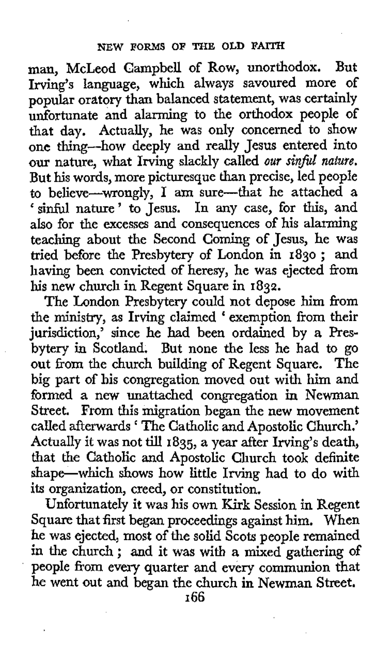man, McLeod Campbell of Row, unorthodox. But Irving's language, which always savoured more of popular oratory than balanced statement, was certainly unfortunate and alarming to the orthodox people of that day. Actually, he was only concerned to show one thing-how deeply and really Jesus entered into our nature, what Irving slackly called *our SinfaZ nature.*  But his words, more picturesque than precise, led people to believe-wrongly, I am sure-that he attached a sinful nature' to Jesus. In any case, for this, and also for the excesses and consequences of his alarming teaching about the Second Coming of Jesus, he was tied before the Presbytery of London in **1830** ; and having been convicted of heresy, he was ejected from his new church in Regent Square in **1832.** 

The London Presbytery could not depose him from the ministry, as Irving claimed ' exemption from their jurisdiction,' since he had been ordained by a Presbytery in Scotland. But none the less he had to go out from the church building of Regent Square. The big part of his congregation moved out with him and formed **a** new unattached congregation in Newman Street. From **this** migration began the new movement called afterwards The Catholic and Apostolic Church.' Actually it was not till **1835,** a year after Irving's death, that the Catholic and Apostolic Church took definite shape-which shows how little Irving had to do with its organization, creed, **or** constitution.

Unfortunately it was his own Kirk Session in Regent Square that first began proceedings against him, When he was ejected, most of the solid Scots people remained in the church ; and it was with **a** mixed gathering of people from every quarter and every communion that he went out and began the church in Newman Street.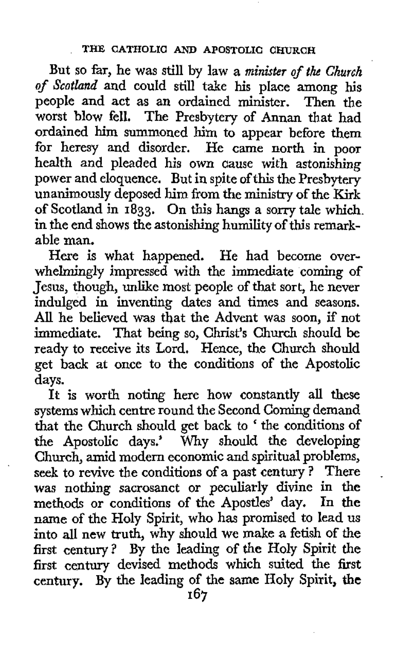But so far, he was still by law a *minister of the Church of Scotland* and could still take his place among his people and act as an ordained minister. Then **the**  worst blow fell. The Presbytery of Annan that had ordained him summoned him to appear before them for heresy and disorder. He came north in poor health and pleaded his own cause with astonishing power and eloquence. But in spite of this the Presbytery unanimously deposed him from the ministry of the Kirk of Scotland in **1833.** On this hangs a **sorry** tale which. in the end shows the astonishing humility of this remarkable man.

Here is what happened. He had become overwhelmingly impressed with the immediate coming of Jesus, though, unlike most people of that sort, he never indulged in inventing dates and times and seasons. **AU** he believed was that the Advent was soon, if not immediate. That being so, Christ's Church should be ready to receive its Lord. Hence, the Church should get back at once to the conditions of the Apostolic days.

**It** is worth noting here how constantly all these systems which centre round the Second Coming demand that the Church should get back to ' the conditions of the Apostolic days.' Why should the developing Church, amid modern economic and spiritual problems, seek to revive the conditions of a past century? There was nothing sacrosanct or peculiarly divine in **the**  methods or conditions **of** the Apostles' day. In **the**  name of the Holy Spirit, who has promised to lead **us**  into all new truth, why should we make a fetish of **the**  first century? By *the* leading of the Holy Spirit the first century devised methods which suited the **first**  century. By **the** leading **of** the same Holy Spirit, **the**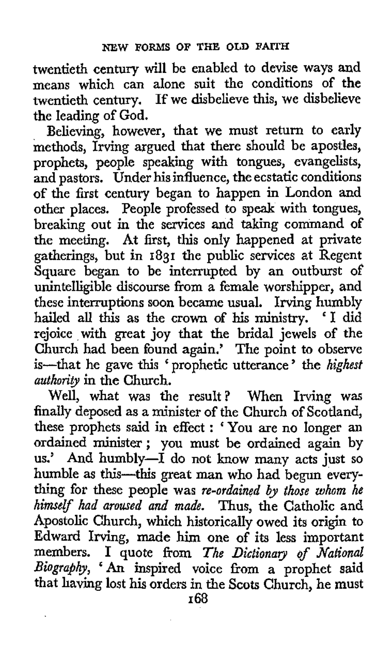twentieth century will be enabled to devise ways and means which can alone suit the conditions of the twentieth century. If we disbelieve this, **we** disbelieve the leading of **God.** 

Believing, however, that we must return to early methods, Irving argued that there should be apostles, prophets, people speaking with tongues, evangelists, and pastors. Under his influence, the ecstatic conditions of the first century began to happen in London and other places. People professed to speak with tongues, breaking out in the services and taking command of the meeting. At first, this only happened at private gatherings, but in **1831** the public services at Regent Square began to be interrupted by an outburst **of**  unintelligible discourse from a female worshipper, and these interruptions soon became usual. Irving humbly hailed all this as **the** crown of his ministry. 'I did rejoice with great joy that the bridal jewels of the Church had been found again.' The point to observe is-that he gave this ' prophetic utterance ' the *highest authority* in the Church.

When Irving was finally deposed as a minister of the Church of Scotland, these prophets **said in** effect : 'You are no longer an ordained minister; you must be ordained again by us.' And humbly-I do not know many acts just so humble *as* this-this great man who had begun everything for these people was *re-ordained ly those whom he himelf had aroused and made.* Thus, the Catholic and Apostolic Church, which historically owed its origin to Edward Irving, made him one of its less important members. I quote from The Dictionary of National *Biography, 'An* inspired voice from a prophet said that having lost his orders in the Scots Church, he must Well, what was the result?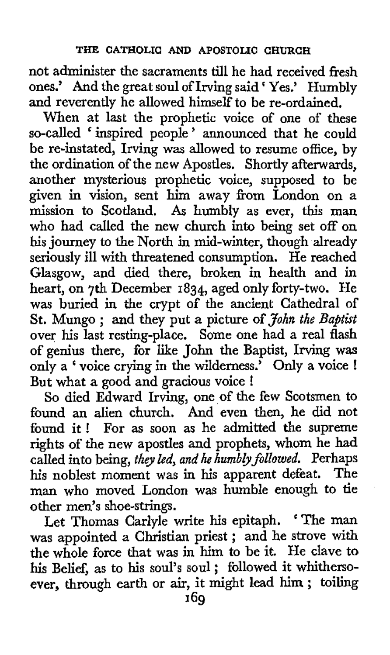not administer the sacraments till he had received fresh ones.' And the great soul of Irving said Yes.' Humbly and reverently he allowed himself to be re-ordained.

When at last the prophetic voice of one of these so-called ' inspired people ' announced that he could be re-instated, Irving was allowed to resume office, by the ordination of the new Apostles. Shortly afterwards, another mysterious prophetic voice, supposed to be given in vision, sent him away fiom London on a mission to Scotland. *As* humbly as ever, this man who had called the new church into being set off on his journey to the North in mid-winter, though already seriously ill with threatened consumption. He reached Glasgow, and died there, broken in health and in heart, on 7th December **1834,** aged only forty-two. He was buried in the crypt of **the** ancient Cathedral of St. Mungo ; and they put a picture of *John the Baptist*  over **his** last resting-place. Some one had a real flash of genius there, for like John the Baptist, Irving was only a ' voice crying in the wilderness.' Only a voice ! But what a good and gracious voice !

*So* died Edward Irving, one of the few Scotsmen to found an alien church. And even then, he **did** not found it ! For as soon as he admitted the supreme rights of the new apostles and prophets, whom he had called into being, *they led, and he humbly followed.* Perhaps his noblest moment was in **his** apparent defeat. The man who moved London was humble enough to tie other men's shoe-strings.

Let Thomas Carlyle write his epitaph. ' The man was appointed a Christian priest ; and he strove with the whole force that was in him to be it. He clave to his Belief, as to his soul's soul ; followed it whithersoever, through earth or air, it might lead him ; toiling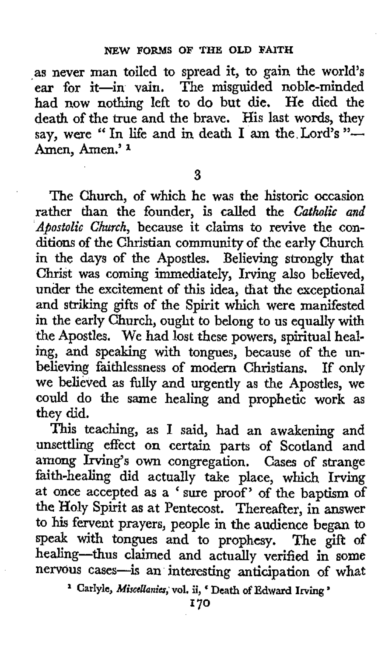as never man toiled to spread it, to gain the world's ear for it-in vain. The misguided noble-minded had now nothing left to do but die. He died the death of the true and the brave. His last words, they say, were " In life and in death I am the Lord's "-Amen, Amen.' **<sup>1</sup>**

**3** 

The Church, of which he was the historic occasion rather than the founder, is called the *Catholic and 'Apostolic Church,* because it claims to revive the conditions of the Christian community of the early Church in the days of the Apostles. Believing strongly that Christ was coming immediately, Irving also believed, under the excitement of this idea, that the exceptional and striking gifts of the Spirit which were manifested in the early Church, ought to belong to us equally with the Apostles. We had lost these powers, spiritual healing, and speaking with tongues, because of the unbelieving faithlessness of modern Christians. If only we believed as fully and urgently as the Apostles, we could do the same healing and prophetic work as they did.

This teaching, as I said, had an awakening and unsettling effect on certain parts of Scotland and among Irving's own congregation. Cases of strange faith-healing did actually take place, which Irving at once accepted as a ' sure proof' of the baptism of the Holy Spirit **as** at Pentecost. Thereafter, in answer to his fervent prayers, people in the audience began to speak with tongues and to prophesy. The gift of healing-thus claimed and actually verified in some nervous cases-is an interesting anticipation of what

<sup>1</sup> Carlyle, *Miscellanies*, vol. ii, ' Death of Edward Irving '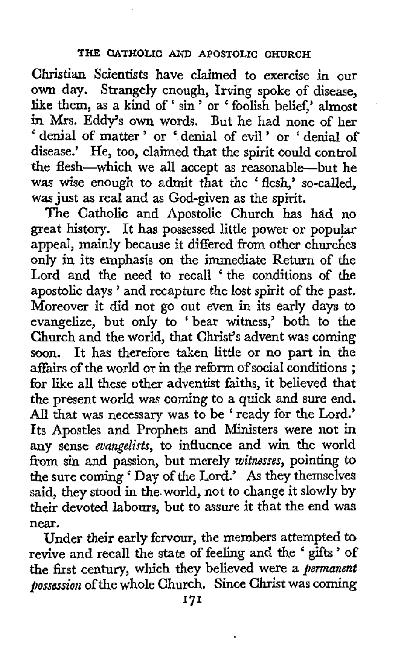## **THE CATHOLIC AND APOSTOLIC CHURCH**

Christian Scientists have claimed to exercise in our **own** day. Strangely enough, Irving spoke of disease, own day. Strangely enough, Irving spoke of disease, like them, as a kind of ' sin ' or ' foolish belief,' almost in Mrs. Eddy's own words. But he had none of her ' denial of matter ' or ' denial of evil ' or ' denial of disease.' He, too, claimed that the spirit could control the flesh-which we all accept as reasonable-but he was wise enough to admit that the 'flesh,' so-called, was just **as** real and as God-given as the spirit.

The Catholic and Apostolic Church has had no great history. It has possessed little power or popular appeal, mainly because it differed from other churches only in its emphasis on the immediate Return **of** the Lord and the need to recall 'the conditions of the apostolic days ' and recapture the lost spirit of the past. Moreover it did not go out even in its early days to evangelize, but only to 'bear witness,' both to the Church and the world, that Christ's advent was coming soon. It has therefore taken little or no part in the affairs of the world or in the reform of social conditions ; for like all these other adventist faiths, it believed that the present world was coming to a quick and sure end. *All* that was necessary was to be ' ready for the Lord.' Its Apostles and Prophets and Ministers were not in any sense *evangelists,* to influence and win the world fiom *sin* and passion, but merely *witnesses,* pointing to the sure coming ' Day of the Lord.' **As** they themselves said, they stood in the world, not to change it slowly by their devoted labours, but **to** assure it that the end was near.

Under their early fervour, the members attempted to revive and recall the state of feeling and the ' gifts ' of the first century, which they believed were a *permanent possession* of the whole Church. Since Christ was coming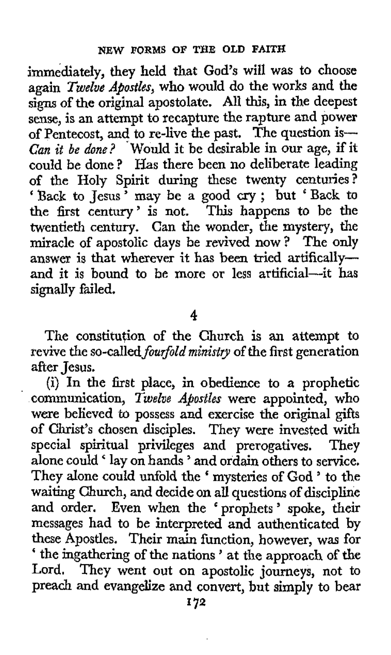immediately, they held that God's will was to choose again *Twelve Apostles,* who would do the works and the signs of the original apostolate. All this, in the deepest sense, is an attempt to recapture the rapture and power of Pentecost, and to re-live the past, The question is-*Can it be done?* 'Would it be desirable in our age, if it could be done? Has there been no deliberate leading of the Holy Spirit during these twenty centuries?<br>'Back to Jesus' may be a good cry; but 'Back to the first century' is not. This happens to be the twentieth century. Can the wonder, the mystery, the miracle of apostolic days be revived now ? The only answer is that wherever it has been tried artificallyand it is bound to be more or less artificial-it has signally failed.

**4** 

The constitution of the Church is an attempt to revive the so-called *fourfold ministry* of the first generation after Jesus.

(i) In the first place, in obedience to a prophetic communication, *Twelve Apostles* were appointed, who were believed to possess and exercise **the** original gifts of Christ's chosen disciples. They were invested with special spiritual privileges and prerogatives. They alone could ' lay on hands ' and ordain others to service. They alone could unfold the 'mysteries of God ' to the waiting Church, and decide on all questions of discipline and order. Even when the 'prophets' spoke, their messages had to be interpreted and authenticated by these Apostles. Their main function, however, was for ' the ingathering of the nations ' at the approach of the Lord. They went out on apostolic journeys, not to preach and evangelize and convert, but simply to bear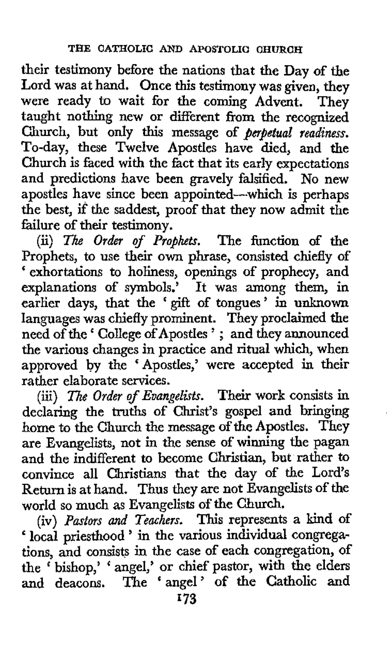their testimony before the nations that the Day of the Lord was at hand. Once this testimony was given, they were ready to wait for the coming Advent. They taught nothing new or different from the recognized Church, but only this message of *perpetual readiness.*  To-day, these Twelve Apostles have died, and the Church is faced with the fact that its early expectations and predictions have been gravely falsified. No new apostles have since been appointed-which is perhaps the best, if the saddest, proof that they now admit the failure of their testimony.

(ii) The Order of Prophets. The function of the Prophets, to use their own phrase, consisted chiefly of ' exhortations to holiness, openings of prophecy, and explanations of symbols.' It was among them, in earlier days, that the 'gifl of tongues' in unknown languages was chiefly prominent. They proclaimed the need of the ' College of Apostles ' ; and they announced the various changes in practice and ritual which, when approved by the 'Apostles,' were accepted in their rather elaborate services.

(iii) *The Order of Evangelists.* Their work consists in declaring the truths of Christ's gospel and bringing home to the Church the message of the Apostles. They are Evangelists, not in the sense of winning the pagan and the indifferent to become Christian, **but** rather to convince all Christians that the day of the Lord's Return is at hand. Thus they are not Evangelists of the world so much as Evangelists of the Church.

(iv) *Pastors and Teachers.* This represents a bind of (iv) Pastors and *leachers*. This represents a kind of<br>'local priesthood ' in the various individual congregations, and consists in the case of each congregation, of the ' bishop,' ' angel,' or chief pastor, with the elders and deacons. The 'angel' of the Catholic and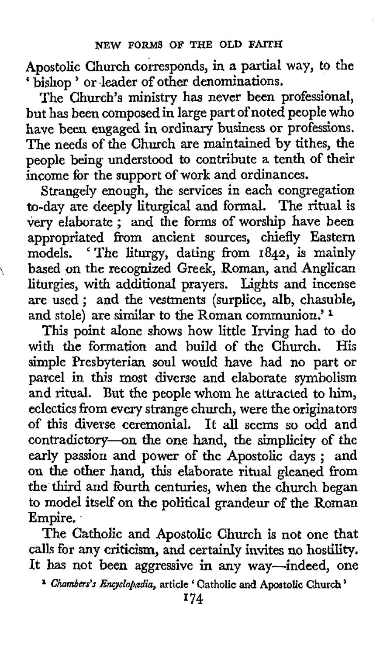Apostolic Church corresponds, in **a** partial way, *to* the ' bishop ' or deader of other denominations,

The Church's ministry has never been professional, but has been composed in large part of noted people who have been engaged in ordinary business or professions. The needs **of** the Church are maintained by tithes, the people being understood to contribute a tenth **of** their income for the support of work and ordinances.

Strangely enough, the services in each congregation to-day are deeply liturgical and formal. The ritual is very elaborate ; and the forms of worship have been appropriated from ancient sources, chiefly Eastern models. 'The liturgy, dating from **1842,** is mainly based on the recognized Greek, Roman, and Anglican liturgies, with additional prayers. Lights and incense are used ; and the vestments (surplice, alb, chasuble, **and** stole) are similar to the Roman communion.'

 $\mathcal{L}$ 

**This** point alone shows how little Irving had to do with the formation and build of the Church. His simple Presbyterian soul would have had no part or parcel in this most diverse and elaborate symbolism and ritual. **But** the people whom he attracted to him, eclectics from every strange church, were the originators **of** this diverse ceremonial. It all seems so odd and contradictory-on the one hand, the simplicity of the early passion and power **of** the Apostolic days ; and on the other hand, this elaborate ritual gleaned from the third and fourth centuries, when the church began to model itself **on** the political grandeur **of** the Roman Empire.

The Catholic and Apostolic Church is **not** one that **calls** for any criticism, and certainly invites no **hostility.**  It has not been aggressive in any way—indeed, one

*Chambers's Emyclo&dia,* **article** ' **Catholic and Apostolic Church** '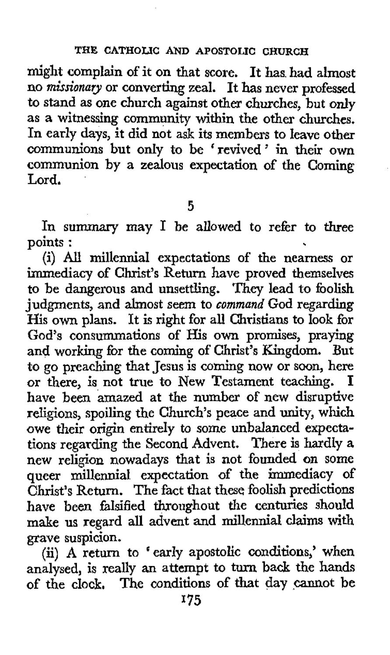might complain of it on that score. It has. had almost no *missionary* or converting zeal. It has never professed to stand as one church against **other** churches, but only as a witnessing community within the other churches. In early days, it did not ask its members to leave **other**  communions but only to be ' revived ' in their **own**  communion by a zealous expectation **of** the Coming Lord.

*5* 

In summary may **I** be allowed to refer to three points :

(i) *AU* millennia1 expectations of the nearness or immediacy of Christ's Return have proved themselves to be dangerous and unsettling. They lead to foolish judgments, and almost seem to *command* God regarding His own plans. It is right for all Christians to look for God's consummations of His **own** promises, praying and working for the coming of Christ's Kingdom. But to go preaching that Jesus is coming now or soon, here or there, is not true to New Testament teaching. have been amazed at the number of new disruptive religions, spoiling the Church's peace and unity, which owe their origin entirely to some unbalanced expectations regarding the Second Advent. There is hardly *a*  new religion nowadays that is not founded on some queer millennia1 expectation of the immediacy **of**  Christ's Return. The fact that these foolish predictions have been falsified throughout the centuries should make us regard all advent and millennial claims with grave suspicion.

(ii) **A** return to 'early apostolic conditions,' when analysed, is really an attempt to turn back the hands of the clock. The conditions of that day cannot be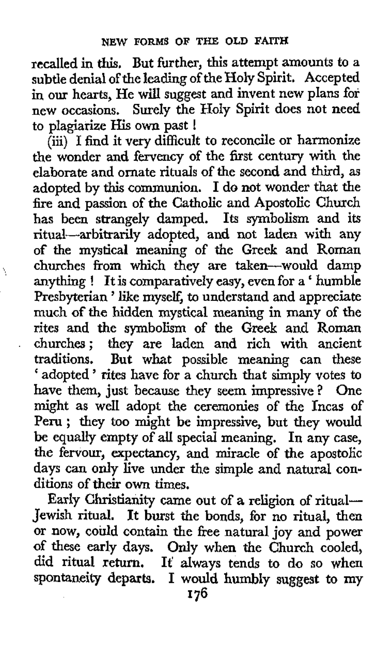recalled in **this.** But further, this attempt amounts to a subtle denial of the leading of the Holy Spirit. Accepted *in* our hearts, He will suggest and invent new plans for new occasions, Surely the Holy Spirit does not need to plagiarize His own past !

(iii) I find it very difficult to reconcile or harmonize the wonder and fervency of the first century with the elaborate and ornate rituals of the second and third, **as**  adopted by this communion. I do not wonder that the fire and passion of the Catholic and Apostolic Church has been strangely damped. Its symbolism and its ritual-arbitrarily adopted, and not laden **with** any of the mystical meaning of the Greek and Roman churches from which they are taken-would damp anything ! It is comparatively easy, even for a ' humble Presbyterian ' like myself, to understand and appreciate much of **the** hidden mystical meaning in many of the rites and the symbolism of the Greek and Roman . churches; they are laden and rich with ancient traditions. But what possible meaning can these ' adopted ' rites have for a church that simply votes to have them, just because they seem impressive? One might as well adopt the ceremonies of the Incas of Peru ; they too might be impressive, but they would be equally empty of **all** special meaning, In any case, the fervour, expectancy, and miracle of the apostolic days can only live under the simple and natural conditions of their **own** times.

 $\frac{1}{\sqrt{2}}$ 

Early Christianity came out of a religion of ritual-Jewish ritual. It burst the bonds, for no ritual, then or now, could contain the free natural joy and power of these early days. Only when the Church cooled, did ritual return. **It'** always tends to do so when spontaneity departs. I would humbly suggest to my